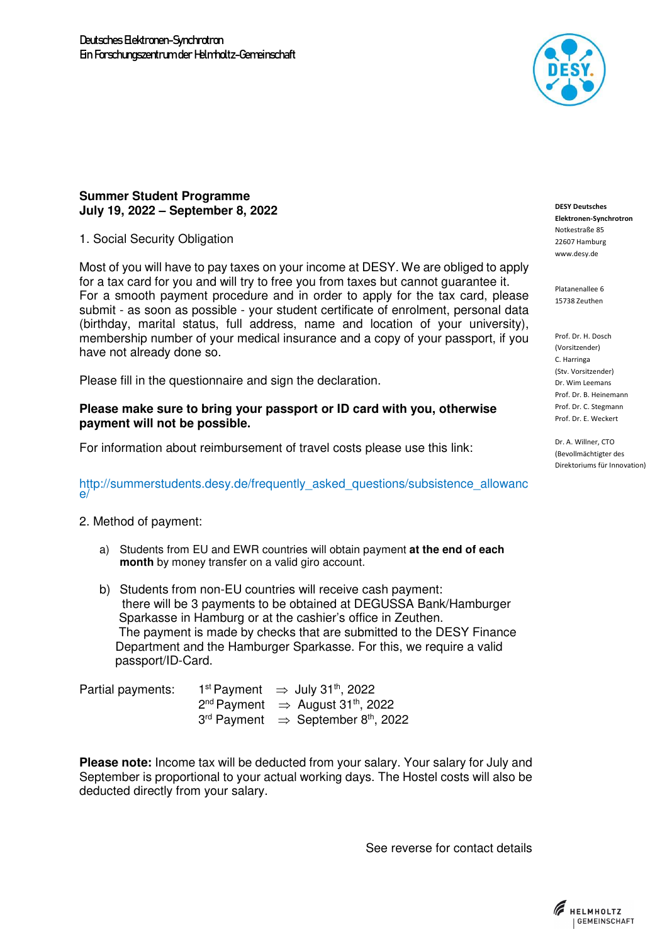

## **Summer Student Programme July 19, 2022 – September 8, 2022**

1. Social Security Obligation

Most of you will have to pay taxes on your income at DESY. We are obliged to apply for a tax card for you and will try to free you from taxes but cannot guarantee it. For a smooth payment procedure and in order to apply for the tax card, please submit - as soon as possible - your student certificate of enrolment, personal data (birthday, marital status, full address, name and location of your university), membership number of your medical insurance and a copy of your passport, if you have not already done so.

Please fill in the questionnaire and sign the declaration.

## **Please make sure to bring your passport or ID card with you, otherwise payment will not be possible.**

For information about reimbursement of travel costs please use this link:

## http://summerstudents.desy.de/frequently\_asked\_questions/subsistence\_allowanc e/

## 2. Method of payment:

- a) Students from EU and EWR countries will obtain payment **at the end of each month** by money transfer on a valid giro account.
- b) Students from non-EU countries will receive cash payment: there will be 3 payments to be obtained at DEGUSSA Bank/Hamburger Sparkasse in Hamburg or at the cashier's office in Zeuthen. The payment is made by checks that are submitted to the DESY Finance Department and the Hamburger Sparkasse. For this, we require a valid passport/ID-Card.

| Partial payments: | 1 <sup>st</sup> Payment $\Rightarrow$ July 31 <sup>th</sup> , 2022 |
|-------------------|--------------------------------------------------------------------|
|                   | $2^{nd}$ Payment $\Rightarrow$ August 31 <sup>th</sup> , 2022      |
|                   | $3rd$ Payment $\Rightarrow$ September 8 <sup>th</sup> , 2022       |

**Please note:** Income tax will be deducted from your salary. Your salary for July and September is proportional to your actual working days. The Hostel costs will also be deducted directly from your salary.

See reverse for contact details

**DESY Deutsches Elektronen-Synchrotron**  Notkestraße 85 22607 Hamburg www.desy.de

Platanenallee 6 15738 Zeuthen

Prof. Dr. H. Dosch (Vorsitzender) C. Harringa (Stv. Vorsitzender) Dr. Wim Leemans Prof. Dr. B. Heinemann Prof. Dr. C. Stegmann Prof. Dr. E. Weckert

Dr. A. Willner, CTO (Bevollmächtigter des Direktoriums für Innovation)